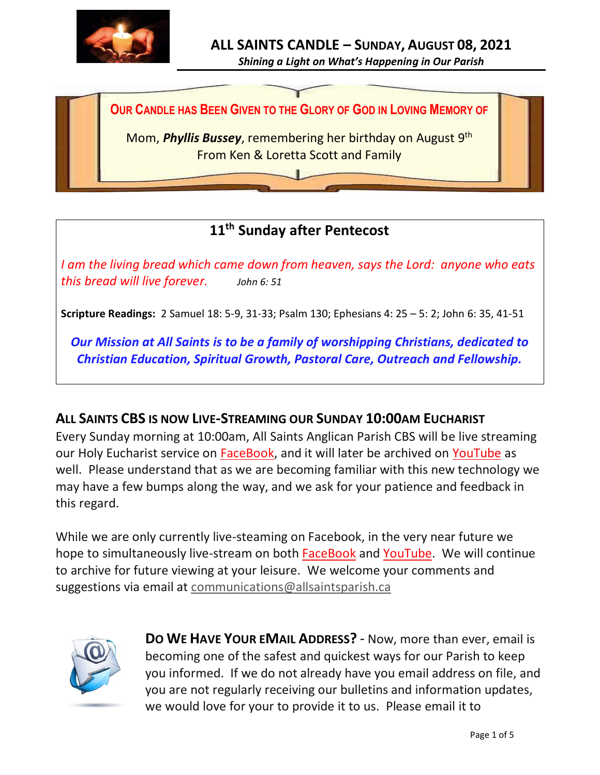

*Shining a Light on What's Happening in Our Parish*

**OUR CANDLE HAS BEEN GIVEN TO THE GLORY OF GOD IN LOVING MEMORY OF**

Mom, **Phyllis Bussey**, remembering her birthday on August 9<sup>th</sup> From Ken & Loretta Scott and Family

# **11 th Sunday after Pentecost**

*I am the living bread which came down from heaven, says the Lord: anyone who eats this bread will live forever. John 6: 51*

**Scripture Readings:** 2 Samuel 18: 5-9, 31-33; Psalm 130; Ephesians 4: 25 – 5: 2; John 6: 35, 41-51

*Our Mission at All Saints is to be a family of worshipping Christians, dedicated to Christian Education, Spiritual Growth, Pastoral Care, Outreach and Fellowship.*

## **ALL SAINTS CBS IS NOW LIVE-STREAMING OUR SUNDAY 10:00AM EUCHARIST**

Every Sunday morning at 10:00am, All Saints Anglican Parish CBS will be live streaming our Holy Eucharist service on [FaceBook,](https://www.facebook.com/AllSaintsAnglicanChurchCBS) and it will later be archived on [YouTube](https://www.youtube.com/results?search_query=all+saints+anglican+parish+cbs) as well. Please understand that as we are becoming familiar with this new technology we may have a few bumps along the way, and we ask for your patience and feedback in this regard.

While we are only currently live-steaming on Facebook, in the very near future we hope to simultaneously live-stream on both [FaceBook](https://www.facebook.com/AllSaintsAnglicanChurchCBS) and [YouTube.](https://www.youtube.com/results?search_query=all+saints+anglican+parish+cbs) We will continue to archive for future viewing at your leisure. We welcome your comments and suggestions via email at [communications@allsaintsparish.ca](mailto:communications@allsaintsparish.ca)



**DO WE HAVE YOUR EMAIL ADDRESS?** - Now, more than ever, email is becoming one of the safest and quickest ways for our Parish to keep you informed. If we do not already have you email address on file, and you are not regularly receiving our bulletins and information updates, we would love for your to provide it to us. Please email it to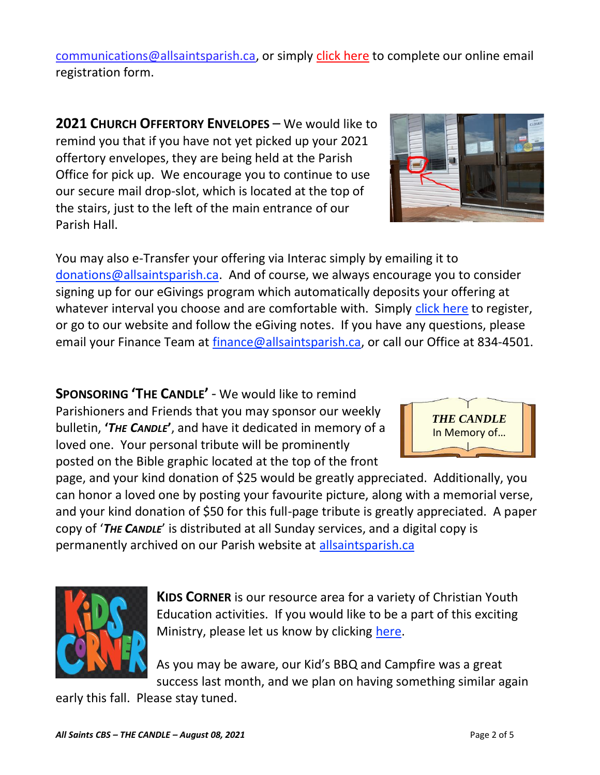[communications@allsaintsparish.ca,](mailto:communications@allsaintsparish.ca?subject=eMail%20Address%20Update) or simply [click here](http://allsaintsparish.ca/email_updates) to complete our online email registration form.

**2021 CHURCH OFFERTORY ENVELOPES** – We would like to remind you that if you have not yet picked up your 2021 offertory envelopes, they are being held at the Parish Office for pick up. We encourage you to continue to use our secure mail drop-slot, which is located at the top of the stairs, just to the left of the main entrance of our Parish Hall.

You may also e-Transfer your offering via Interac simply by emailing it to [donations@allsaintsparish.ca.](mailto:donations@allsaintsparish.ca) And of course, we always encourage you to consider signing up for our eGivings program which automatically deposits your offering at whatever interval you choose and are comfortable with. Simply [click here](http://allsaintsparish.ca/egiving-online-information-form) to register, or go to our website and follow the eGiving notes. If you have [any](https://wfsites-to.websitecreatorprotool.com/870a5dd5.com/Admin/%7BSK_NODEID__22939341__SK%7D) questions, please email your Finance Team at [finance@allsaintsparish.ca,](mailto:finance@allsaintsparish.ca) or call our Office at 834-4501.

**SPONSORING 'THE CANDLE'** - We would like to remind Parishioners and Friends that you may sponsor our weekly bulletin, **'***THE CANDLE***'**, and have it dedicated in memory of a loved one. Your personal tribute will be prominently posted on the Bible graphic located at the top of the front

page, and your kind donation of \$25 would be greatly appreciated. Additionally, you can honor a loved one by posting your favourite picture, along with a memorial verse, and your kind donation of \$50 for this full-page tribute is greatly appreciated. A paper copy of '*THE CANDLE*' is distributed at all Sunday services, and a digital copy is permanently archived on our Parish website at [allsaintsparish.ca](http://allsaintsparish.ca/thecandle.html)

> **KIDS CORNER** is our resource area for a variety of Christian Youth Education activities. If you would like to be a part of this exciting Ministry, please let us know by clicking [here.](http://allsaintsparish.ca/index.html#comments)

As you may be aware, our Kid's BBQ and Campfire was a great success last month, and we plan on having something similar again

early this fall. Please stay tuned.



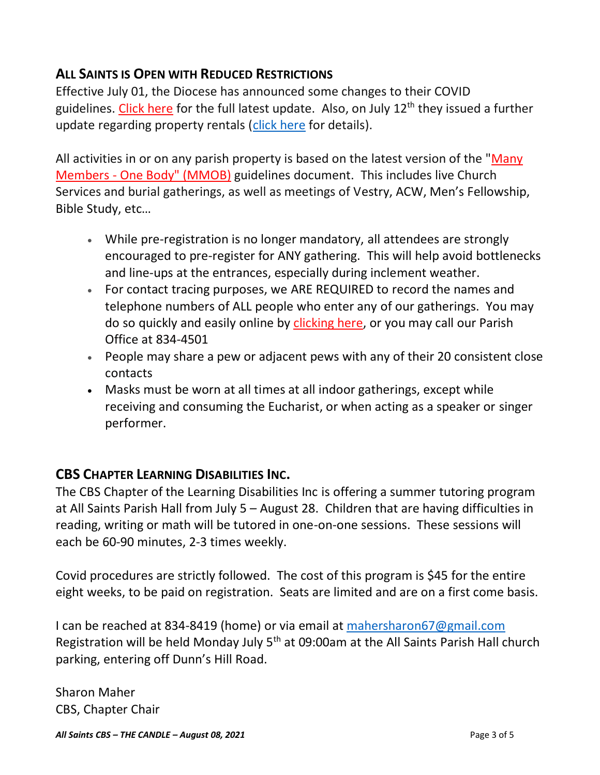# **ALL SAINTS IS OPEN WITH REDUCED RESTRICTIONS**

Effective July 01, the Diocese has announced some changes to their COVID guidelines. [Click here](http://allsaintsparish.ca/document_library/COVID-19/210630%20COVID%2019%20Update%20Effective%20July%201.pdf) for the full latest update. Also, on July  $12<sup>th</sup>$  they issued a further update regarding property rentals [\(click here](http://allsaintsparish.ca/document_library/COVID-19/COVID%20Update%20(annotated)%20Diocese%20ENL%20Issued%20210712.pdf) for details).

All activities in or on any parish property is based on the latest version of the "Many Members - [One Body" \(MMOB\)](https://anglicanenl.net/home/wp-content/uploads/2021/02/Many-Members-One-Body-February-2021.pdf) guidelines document. This includes live Church Services and burial gatherings, as well as meetings of Vestry, ACW, Men's Fellowship, Bible Study, etc…

- While pre-registration is no longer mandatory, all attendees are strongly encouraged to pre-register for ANY gathering. This will help avoid bottlenecks and line-ups at the entrances, especially during inclement weather.
- For contact tracing purposes, we ARE REQUIRED to record the names and telephone numbers of ALL people who enter any of our gatherings. You may do so quickly and easily online by [clicking here,](http://allsaintsparish.ca/covid-pre-registration-form) or you may call our Parish Office at 834-4501
- People may share a pew or adjacent pews with any of their 20 consistent close contacts
- Masks must be worn at all times at all indoor gatherings, except while receiving and consuming the Eucharist, or when acting as a speaker or singer performer.

## **CBS CHAPTER LEARNING DISABILITIES INC.**

The CBS Chapter of the Learning Disabilities Inc is offering a summer tutoring program at All Saints Parish Hall from July 5 – August 28. Children that are having difficulties in reading, writing or math will be tutored in one-on-one sessions. These sessions will each be 60-90 minutes, 2-3 times weekly.

Covid procedures are strictly followed. The cost of this program is \$45 for the entire eight weeks, to be paid on registration. Seats are limited and are on a first come basis.

I can be reached at 834-8419 (home) or via email at [mahersharon67@gmail.com](mailto:mahersharon67@gmail.com) Registration will be held Monday July 5<sup>th</sup> at 09:00am at the All Saints Parish Hall church parking, entering off Dunn's Hill Road.

Sharon Maher CBS, Chapter Chair